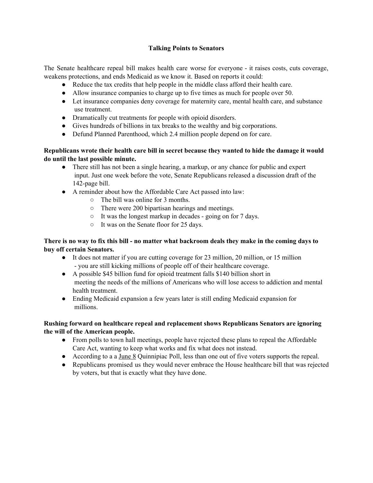#### **Talking Points to Senators**

The Senate healthcare repeal bill makes health care worse for everyone - it raises costs, cuts coverage, weakens protections, and ends Medicaid as we know it. Based on reports it could:

- Reduce the tax credits that help people in the middle class afford their health care.
- Allow insurance companies to charge up to five times as much for people over 50.
- Let insurance companies deny coverage for maternity care, mental health care, and substance use treatment.
- Dramatically cut treatments for people with opioid disorders.
- Gives hundreds of billions in tax breaks to the wealthy and big corporations.
- Defund Planned Parenthood, which 2.4 million people depend on for care.

#### **Republicans wrote their health care bill in secret because they wanted to hide the damage it would do until the last possible minute.**

- There still has not been a single hearing, a markup, or any chance for public and expert input. Just one week before the vote, Senate Republicans released a discussion draft of the 142-page bill.
- A reminder about how the Affordable Care Act passed into law:
	- The bill was online for 3 months.
	- There were 200 bipartisan hearings and meetings.
	- It was the longest markup in decades going on for 7 days.
	- It was on the Senate floor for 25 days.

# There is no way to fix this bill - no matter what backroom deals they make in the coming days to **buy off certain Senators.**

- It does not matter if you are cutting coverage for 23 million, 20 million, or 15 million - you are still kicking millions of people off of their healthcare coverage.
- A possible \$45 billion fund for opioid treatment falls \$140 billion short in meeting the needs of the millions of Americans who will lose access to addiction and mental health treatment.
- Ending Medicaid expansion a few years later is still ending Medicaid expansion for millions.

# **Rushing forward on healthcare repeal and replacement shows Republicans Senators are ignoring the will of the American people.**

- From polls to town hall meetings, people have rejected these plans to repeal the Affordable Care Act, wanting to keep what works and fix what does not instead.
- According to a a [June](https://poll.qu.edu/national/release-detail?ReleaseID=2463) 8 Quinnipiac Poll, less than one out of five voters supports the repeal.
- Republicans promised us they would never embrace the House healthcare bill that was rejected by voters, but that is exactly what they have done.